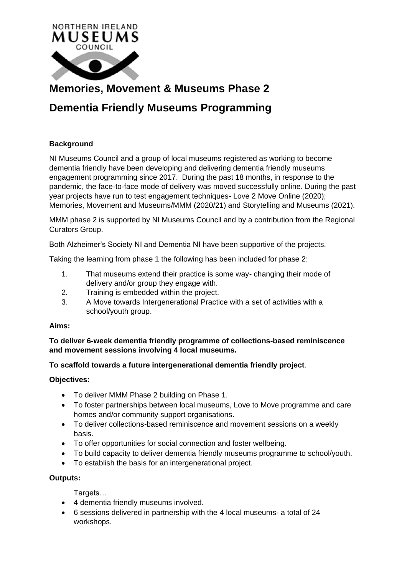

# **Memories, Movement & Museums Phase 2**

# **Dementia Friendly Museums Programming**

## **Background**

NI Museums Council and a group of local museums registered as working to become dementia friendly have been developing and delivering dementia friendly museums engagement programming since 2017. During the past 18 months, in response to the pandemic, the face-to-face mode of delivery was moved successfully online. During the past year projects have run to test engagement techniques- Love 2 Move Online (2020); Memories, Movement and Museums/MMM (2020/21) and Storytelling and Museums (2021).

MMM phase 2 is supported by NI Museums Council and by a contribution from the Regional Curators Group.

Both Alzheimer's Society NI and Dementia NI have been supportive of the projects.

Taking the learning from phase 1 the following has been included for phase 2:

- 1. That museums extend their practice is some way- changing their mode of delivery and/or group they engage with.
- 2. Training is embedded within the project.
- 3. A Move towards Intergenerational Practice with a set of activities with a school/youth group.

#### **Aims:**

**To deliver 6-week dementia friendly programme of collections-based reminiscence and movement sessions involving 4 local museums.**

## **To scaffold towards a future intergenerational dementia friendly project**.

## **Objectives:**

- To deliver MMM Phase 2 building on Phase 1.
- To foster partnerships between local museums, Love to Move programme and care homes and/or community support organisations.
- To deliver collections-based reminiscence and movement sessions on a weekly basis.
- To offer opportunities for social connection and foster wellbeing.
- To build capacity to deliver dementia friendly museums programme to school/youth.
- To establish the basis for an intergenerational project.

#### **Outputs:**

Targets…

- 4 dementia friendly museums involved.
- 6 sessions delivered in partnership with the 4 local museums- a total of 24 workshops.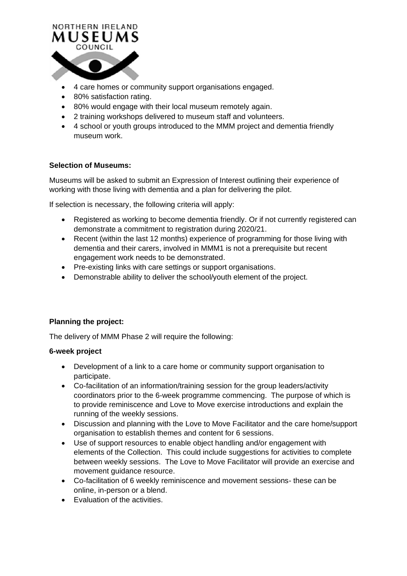

- 4 care homes or community support organisations engaged.
- 80% satisfaction rating.
- 80% would engage with their local museum remotely again.
- 2 training workshops delivered to museum staff and volunteers.
- 4 school or youth groups introduced to the MMM project and dementia friendly museum work.

#### **Selection of Museums:**

Museums will be asked to submit an Expression of Interest outlining their experience of working with those living with dementia and a plan for delivering the pilot.

If selection is necessary, the following criteria will apply:

- Registered as working to become dementia friendly. Or if not currently registered can demonstrate a commitment to registration during 2020/21.
- Recent (within the last 12 months) experience of programming for those living with dementia and their carers, involved in MMM1 is not a prerequisite but recent engagement work needs to be demonstrated.
- Pre-existing links with care settings or support organisations.
- Demonstrable ability to deliver the school/youth element of the project.

#### **Planning the project:**

The delivery of MMM Phase 2 will require the following:

#### **6-week project**

- Development of a link to a care home or community support organisation to participate.
- Co-facilitation of an information/training session for the group leaders/activity coordinators prior to the 6-week programme commencing. The purpose of which is to provide reminiscence and Love to Move exercise introductions and explain the running of the weekly sessions.
- Discussion and planning with the Love to Move Facilitator and the care home/support organisation to establish themes and content for 6 sessions.
- Use of support resources to enable object handling and/or engagement with elements of the Collection. This could include suggestions for activities to complete between weekly sessions. The Love to Move Facilitator will provide an exercise and movement guidance resource.
- Co-facilitation of 6 weekly reminiscence and movement sessions- these can be online, in-person or a blend.
- Evaluation of the activities.